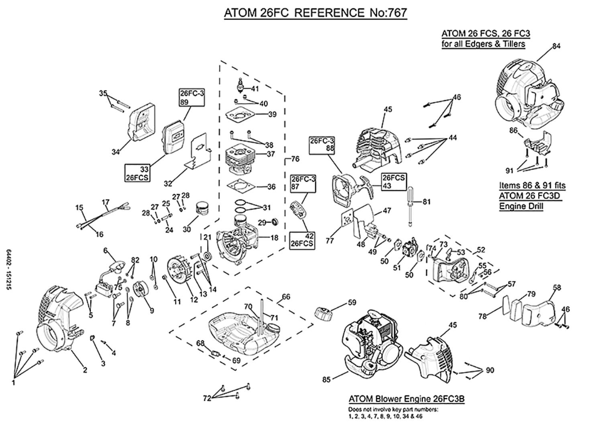## ATOM 26FC REFERENCE No:767



64402-151215